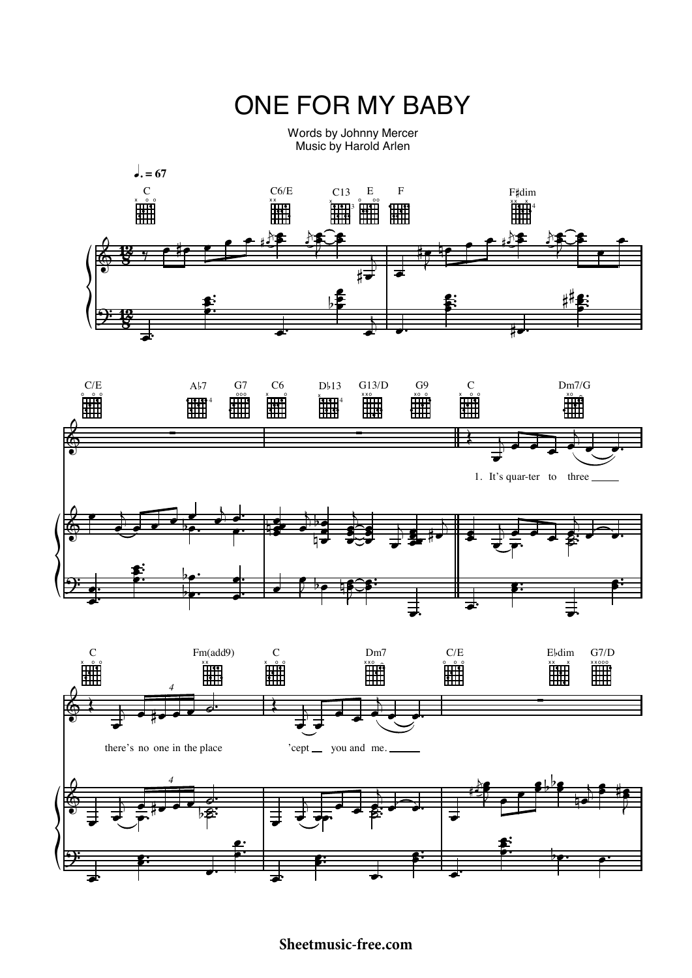## ONE FOR MY BABY

Words by Johnny Mercer Music by Harold Arlen





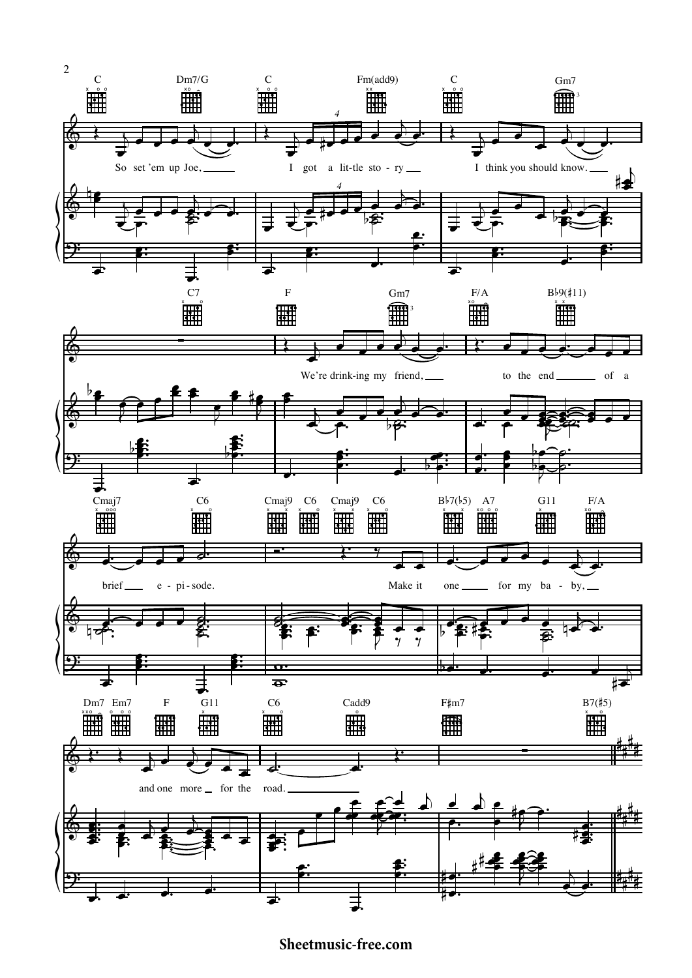

**[Sheetmusic-free.com](http://sheetmusic-free.com/)**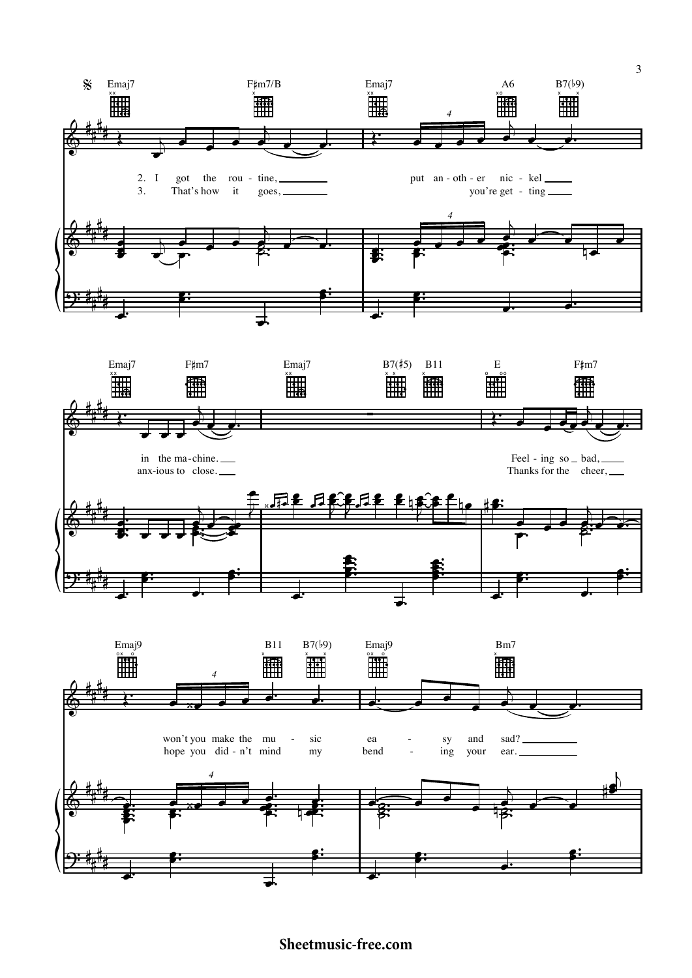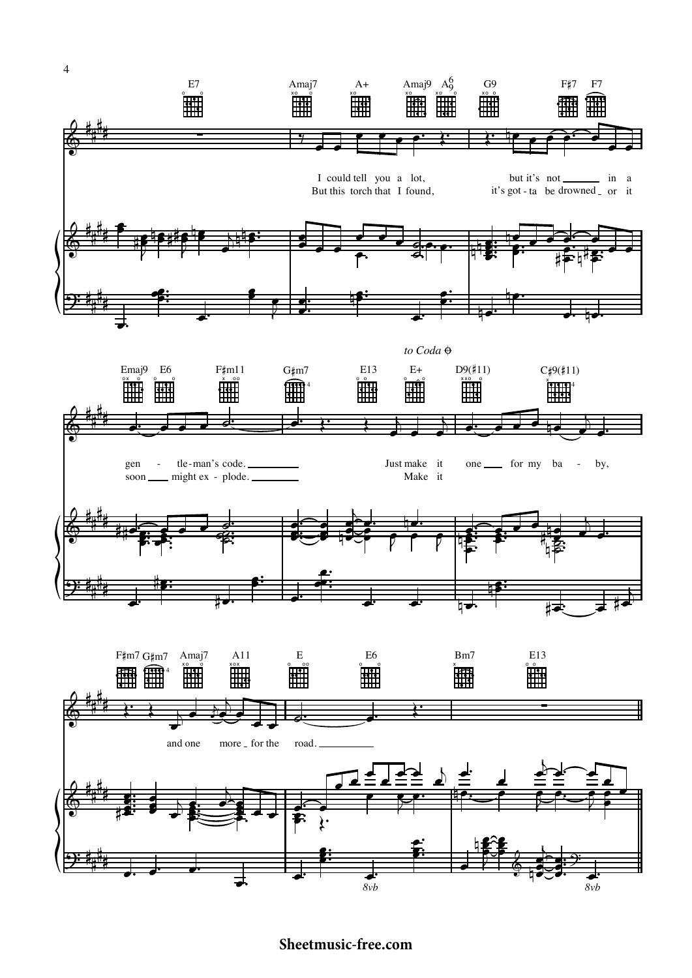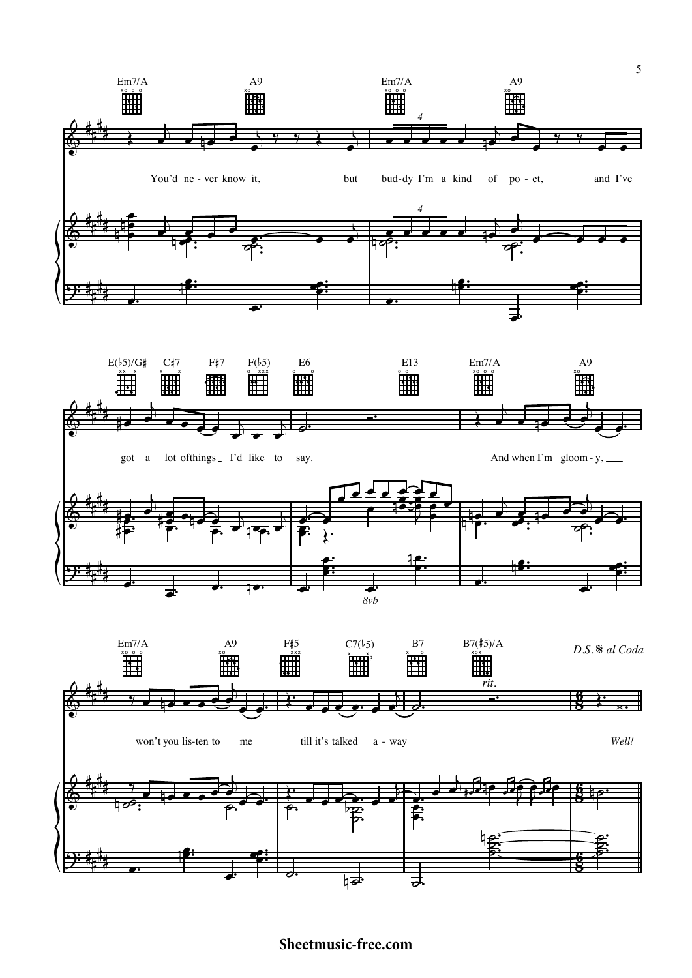